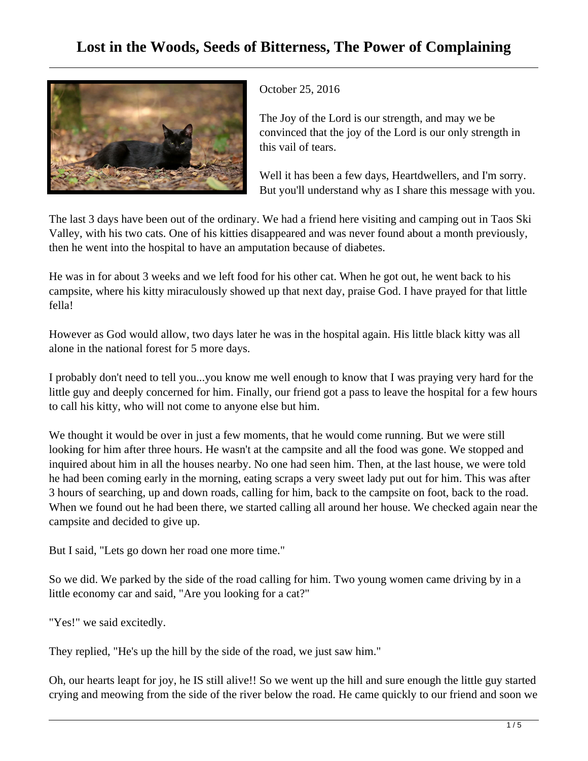## **Lost in the Woods, Seeds of Bitterness, The Power of Complaining**



October 25, 2016

The Joy of the Lord is our strength, and may we be convinced that the joy of the Lord is our only strength in this vail of tears.

Well it has been a few days, Heartdwellers, and I'm sorry. But you'll understand why as I share this message with you.

The last 3 days have been out of the ordinary. We had a friend here visiting and camping out in Taos Ski Valley, with his two cats. One of his kitties disappeared and was never found about a month previously, then he went into the hospital to have an amputation because of diabetes.

He was in for about 3 weeks and we left food for his other cat. When he got out, he went back to his campsite, where his kitty miraculously showed up that next day, praise God. I have prayed for that little fella!

However as God would allow, two days later he was in the hospital again. His little black kitty was all alone in the national forest for 5 more days.

I probably don't need to tell you...you know me well enough to know that I was praying very hard for the little guy and deeply concerned for him. Finally, our friend got a pass to leave the hospital for a few hours to call his kitty, who will not come to anyone else but him.

We thought it would be over in just a few moments, that he would come running. But we were still looking for him after three hours. He wasn't at the campsite and all the food was gone. We stopped and inquired about him in all the houses nearby. No one had seen him. Then, at the last house, we were told he had been coming early in the morning, eating scraps a very sweet lady put out for him. This was after 3 hours of searching, up and down roads, calling for him, back to the campsite on foot, back to the road. When we found out he had been there, we started calling all around her house. We checked again near the campsite and decided to give up.

But I said, "Lets go down her road one more time."

So we did. We parked by the side of the road calling for him. Two young women came driving by in a little economy car and said, "Are you looking for a cat?"

"Yes!" we said excitedly.

They replied, "He's up the hill by the side of the road, we just saw him."

Oh, our hearts leapt for joy, he IS still alive!! So we went up the hill and sure enough the little guy started crying and meowing from the side of the river below the road. He came quickly to our friend and soon we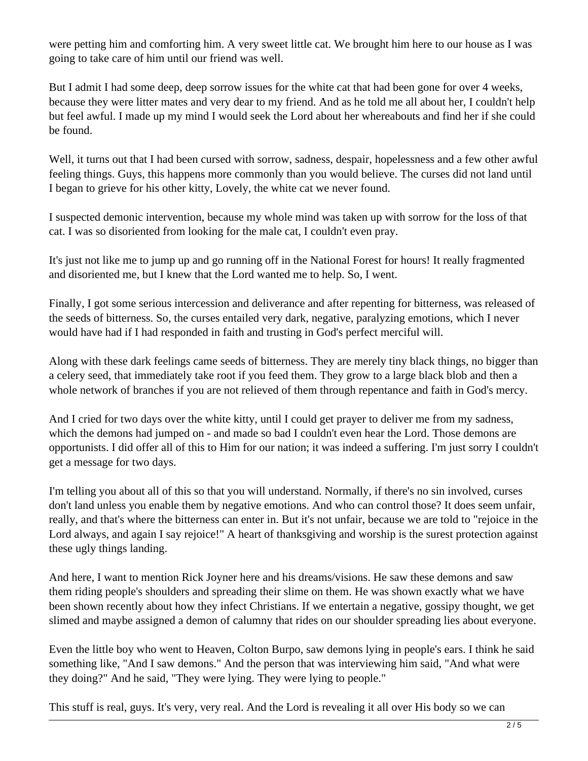were petting him and comforting him. A very sweet little cat. We brought him here to our house as I was going to take care of him until our friend was well.

But I admit I had some deep, deep sorrow issues for the white cat that had been gone for over 4 weeks, because they were litter mates and very dear to my friend. And as he told me all about her, I couldn't help but feel awful. I made up my mind I would seek the Lord about her whereabouts and find her if she could be found.

Well, it turns out that I had been cursed with sorrow, sadness, despair, hopelessness and a few other awful feeling things. Guys, this happens more commonly than you would believe. The curses did not land until I began to grieve for his other kitty, Lovely, the white cat we never found.

I suspected demonic intervention, because my whole mind was taken up with sorrow for the loss of that cat. I was so disoriented from looking for the male cat, I couldn't even pray.

It's just not like me to jump up and go running off in the National Forest for hours! It really fragmented and disoriented me, but I knew that the Lord wanted me to help. So, I went.

Finally, I got some serious intercession and deliverance and after repenting for bitterness, was released of the seeds of bitterness. So, the curses entailed very dark, negative, paralyzing emotions, which I never would have had if I had responded in faith and trusting in God's perfect merciful will.

Along with these dark feelings came seeds of bitterness. They are merely tiny black things, no bigger than a celery seed, that immediately take root if you feed them. They grow to a large black blob and then a whole network of branches if you are not relieved of them through repentance and faith in God's mercy.

And I cried for two days over the white kitty, until I could get prayer to deliver me from my sadness, which the demons had jumped on - and made so bad I couldn't even hear the Lord. Those demons are opportunists. I did offer all of this to Him for our nation; it was indeed a suffering. I'm just sorry I couldn't get a message for two days.

I'm telling you about all of this so that you will understand. Normally, if there's no sin involved, curses don't land unless you enable them by negative emotions. And who can control those? It does seem unfair, really, and that's where the bitterness can enter in. But it's not unfair, because we are told to "rejoice in the Lord always, and again I say rejoice!" A heart of thanksgiving and worship is the surest protection against these ugly things landing.

And here, I want to mention Rick Joyner here and his dreams/visions. He saw these demons and saw them riding people's shoulders and spreading their slime on them. He was shown exactly what we have been shown recently about how they infect Christians. If we entertain a negative, gossipy thought, we get slimed and maybe assigned a demon of calumny that rides on our shoulder spreading lies about everyone.

Even the little boy who went to Heaven, Colton Burpo, saw demons lying in people's ears. I think he said something like, "And I saw demons." And the person that was interviewing him said, "And what were they doing?" And he said, "They were lying. They were lying to people."

This stuff is real, guys. It's very, very real. And the Lord is revealing it all over His body so we can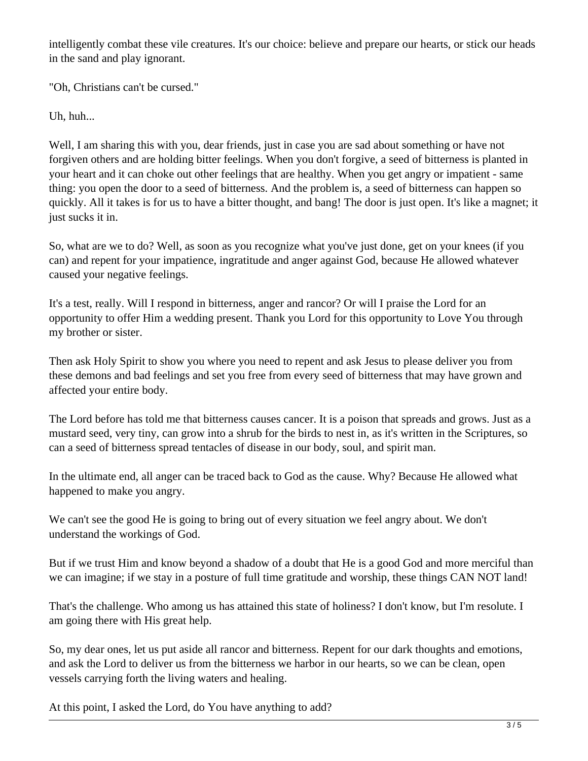intelligently combat these vile creatures. It's our choice: believe and prepare our hearts, or stick our heads in the sand and play ignorant.

"Oh, Christians can't be cursed."

Uh, huh...

Well, I am sharing this with you, dear friends, just in case you are sad about something or have not forgiven others and are holding bitter feelings. When you don't forgive, a seed of bitterness is planted in your heart and it can choke out other feelings that are healthy. When you get angry or impatient - same thing: you open the door to a seed of bitterness. And the problem is, a seed of bitterness can happen so quickly. All it takes is for us to have a bitter thought, and bang! The door is just open. It's like a magnet; it just sucks it in.

So, what are we to do? Well, as soon as you recognize what you've just done, get on your knees (if you can) and repent for your impatience, ingratitude and anger against God, because He allowed whatever caused your negative feelings.

It's a test, really. Will I respond in bitterness, anger and rancor? Or will I praise the Lord for an opportunity to offer Him a wedding present. Thank you Lord for this opportunity to Love You through my brother or sister.

Then ask Holy Spirit to show you where you need to repent and ask Jesus to please deliver you from these demons and bad feelings and set you free from every seed of bitterness that may have grown and affected your entire body.

The Lord before has told me that bitterness causes cancer. It is a poison that spreads and grows. Just as a mustard seed, very tiny, can grow into a shrub for the birds to nest in, as it's written in the Scriptures, so can a seed of bitterness spread tentacles of disease in our body, soul, and spirit man.

In the ultimate end, all anger can be traced back to God as the cause. Why? Because He allowed what happened to make you angry.

We can't see the good He is going to bring out of every situation we feel angry about. We don't understand the workings of God.

But if we trust Him and know beyond a shadow of a doubt that He is a good God and more merciful than we can imagine; if we stay in a posture of full time gratitude and worship, these things CAN NOT land!

That's the challenge. Who among us has attained this state of holiness? I don't know, but I'm resolute. I am going there with His great help.

So, my dear ones, let us put aside all rancor and bitterness. Repent for our dark thoughts and emotions, and ask the Lord to deliver us from the bitterness we harbor in our hearts, so we can be clean, open vessels carrying forth the living waters and healing.

At this point, I asked the Lord, do You have anything to add?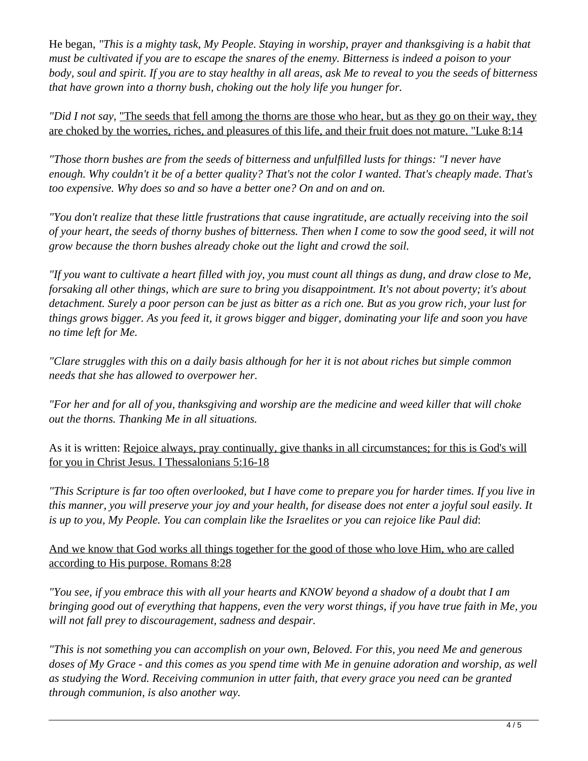He began, *"This is a mighty task, My People. Staying in worship, prayer and thanksgiving is a habit that must be cultivated if you are to escape the snares of the enemy. Bitterness is indeed a poison to your body, soul and spirit. If you are to stay healthy in all areas, ask Me to reveal to you the seeds of bitterness that have grown into a thorny bush, choking out the holy life you hunger for.* 

*"Did I not say,* "The seeds that fell among the thorns are those who hear, but as they go on their way, they are choked by the worries, riches, and pleasures of this life, and their fruit does not mature. "Luke 8:14

*"Those thorn bushes are from the seeds of bitterness and unfulfilled lusts for things: "I never have enough. Why couldn't it be of a better quality? That's not the color I wanted. That's cheaply made. That's too expensive. Why does so and so have a better one? On and on and on.*

*"You don't realize that these little frustrations that cause ingratitude, are actually receiving into the soil of your heart, the seeds of thorny bushes of bitterness. Then when I come to sow the good seed, it will not grow because the thorn bushes already choke out the light and crowd the soil.*

*"If you want to cultivate a heart filled with joy, you must count all things as dung, and draw close to Me, forsaking all other things, which are sure to bring you disappointment. It's not about poverty; it's about detachment. Surely a poor person can be just as bitter as a rich one. But as you grow rich, your lust for things grows bigger. As you feed it, it grows bigger and bigger, dominating your life and soon you have no time left for Me.* 

*"Clare struggles with this on a daily basis although for her it is not about riches but simple common needs that she has allowed to overpower her.*

*"For her and for all of you, thanksgiving and worship are the medicine and weed killer that will choke out the thorns. Thanking Me in all situations.*

As it is written: Rejoice always, pray continually, give thanks in all circumstances; for this is God's will for you in Christ Jesus. I Thessalonians 5:16-18

*"This Scripture is far too often overlooked, but I have come to prepare you for harder times. If you live in this manner, you will preserve your joy and your health, for disease does not enter a joyful soul easily. It is up to you, My People. You can complain like the Israelites or you can rejoice like Paul did*:

And we know that God works all things together for the good of those who love Him, who are called according to His purpose. Romans 8:28

*"You see, if you embrace this with all your hearts and KNOW beyond a shadow of a doubt that I am bringing good out of everything that happens, even the very worst things, if you have true faith in Me, you will not fall prey to discouragement, sadness and despair.*

*"This is not something you can accomplish on your own, Beloved. For this, you need Me and generous doses of My Grace - and this comes as you spend time with Me in genuine adoration and worship, as well as studying the Word. Receiving communion in utter faith, that every grace you need can be granted through communion, is also another way.*